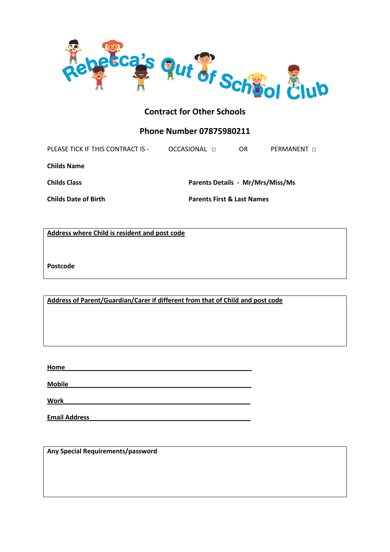

## **Phone Number 07875980211**

PLEASE TICK IF THIS CONTRACT IS - OCCASIONAL □ OR PERMANENT □ **Childs Name Childs Class Parents Details - Mr/Mrs/Miss/Ms Childs Date of Birth Parents First & Last Names**

**Address where Child is resident and post code**

**Postcode**

**Address of Parent/Guardian/Carer if different from that of Child and post code**

**Home\_\_\_\_\_\_\_\_\_\_\_\_\_\_\_\_\_\_\_\_\_\_\_\_\_\_\_\_\_\_\_\_\_\_\_\_\_\_\_\_\_\_\_\_\_\_\_\_\_\_\_\_**

**Mobile\_\_\_\_\_\_\_\_\_\_\_\_\_\_\_\_\_\_\_\_\_\_\_\_\_\_\_\_\_\_\_\_\_\_\_\_\_\_\_\_\_\_\_\_\_\_\_\_\_\_\_**

 $Work$ 

**Email Address\_\_\_\_\_\_\_\_\_\_\_\_\_\_\_\_\_\_\_\_\_\_\_\_\_\_\_\_\_\_\_\_\_\_\_\_\_\_\_\_\_\_\_\_\_**

**Any Special Requirements/password**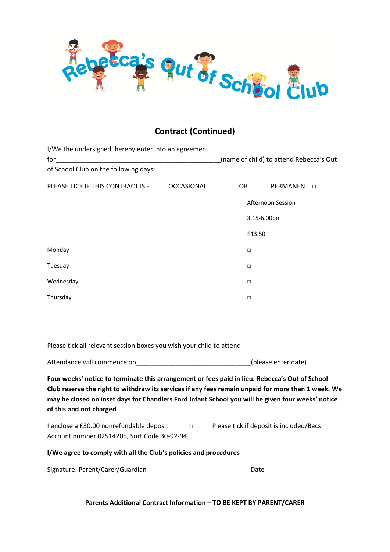

# **Contract (Continued)**

| I/We the undersigned, hereby enter into an agreement |                     |           |                                         |                         |  |  |
|------------------------------------------------------|---------------------|-----------|-----------------------------------------|-------------------------|--|--|
| for                                                  |                     |           | (name of child) to attend Rebecca's Out |                         |  |  |
| of School Club on the following days:                |                     |           |                                         |                         |  |  |
| PLEASE TICK IF THIS CONTRACT IS -                    | OCCASIONAL <b>D</b> | <b>OR</b> |                                         | <b>PERMANENT</b> $\Box$ |  |  |
|                                                      |                     |           |                                         | Afternoon Session       |  |  |
|                                                      |                     |           | 3.15-6.00pm                             |                         |  |  |
|                                                      |                     |           | £13.50                                  |                         |  |  |
| Monday                                               |                     |           | $\Box$                                  |                         |  |  |
| Tuesday                                              |                     |           | $\Box$                                  |                         |  |  |
| Wednesday                                            |                     |           | $\Box$                                  |                         |  |  |
| Thursday                                             |                     |           | $\Box$                                  |                         |  |  |
|                                                      |                     |           |                                         |                         |  |  |

Please tick all relevant session boxes you wish your child to attend

Attendance will commence on\_\_\_\_\_\_\_\_\_\_\_\_\_\_\_\_\_\_\_\_\_\_\_\_\_\_\_\_\_\_\_\_(please enter date)

**Four weeks' notice to terminate this arrangement or fees paid in lieu. Rebecca's Out of School Club reserve the right to withdraw its services if any fees remain unpaid for more than 1 week. We may be closed on inset days for Chandlers Ford Infant School you will be given four weeks' notice of this and not charged**

| I enclose a £30.00 nonrefundable deposit    | Please tick if deposit is included/Bacs |
|---------------------------------------------|-----------------------------------------|
| Account number 02514205, Sort Code 30-92-94 |                                         |

## **I/We agree to comply with all the Club's policies and procedures**

| Signature: Parent/Carer/Guardian | Date |
|----------------------------------|------|
|                                  |      |

**Parents Additional Contract Information – TO BE KEPT BY PARENT/CARER**